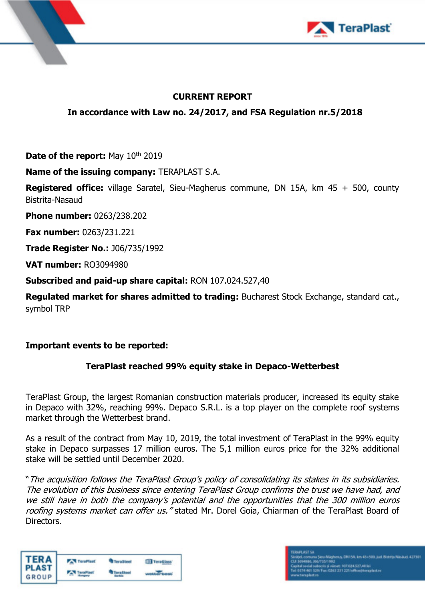



## **CURRENT REPORT**

**In accordance with Law no. 24/2017, and FSA Regulation nr.5/2018** 

**Date of the report:** May 10<sup>th</sup> 2019

**Name of the issuing company:** TERAPLAST S.A.

**Registered office:** village Saratel, Sieu-Magherus commune, DN 15A, km 45 + 500, county Bistrita-Nasaud

**Phone number:** 0263/238.202

**Fax number:** 0263/231.221

**Trade Register No.:** J06/735/1992

**VAT number:** RO3094980

**Subscribed and paid-up share capital:** RON 107.024.527,40

**Regulated market for shares admitted to trading:** Bucharest Stock Exchange, standard cat., symbol TRP

## **Important events to be reported:**

## **TeraPlast reached 99% equity stake in Depaco-Wetterbest**

TeraPlast Group, the largest Romanian construction materials producer, increased its equity stake in Depaco with 32%, reaching 99%. Depaco S.R.L. is a top player on the complete roof systems market through the Wetterbest brand.

As a result of the contract from May 10, 2019, the total investment of TeraPlast in the 99% equity stake in Depaco surpasses 17 million euros. The 5,1 million euros price for the 32% additional stake will be settled until December 2020.

"The acquisition follows the TeraPlast Group's policy of consolidating its stakes in its subsidiaries. The evolution of this business since entering TeraPlast Group confirms the trust we have had, and we still have in both the company's potential and the opportunities that the 300 million euros roofing systems market can offer us." stated Mr. Dorel Goia, Chiarman of the TeraPlast Board of Directors.



värjatt 107.034.527,401ei<br>1363 231 221/office@tengdast.ro